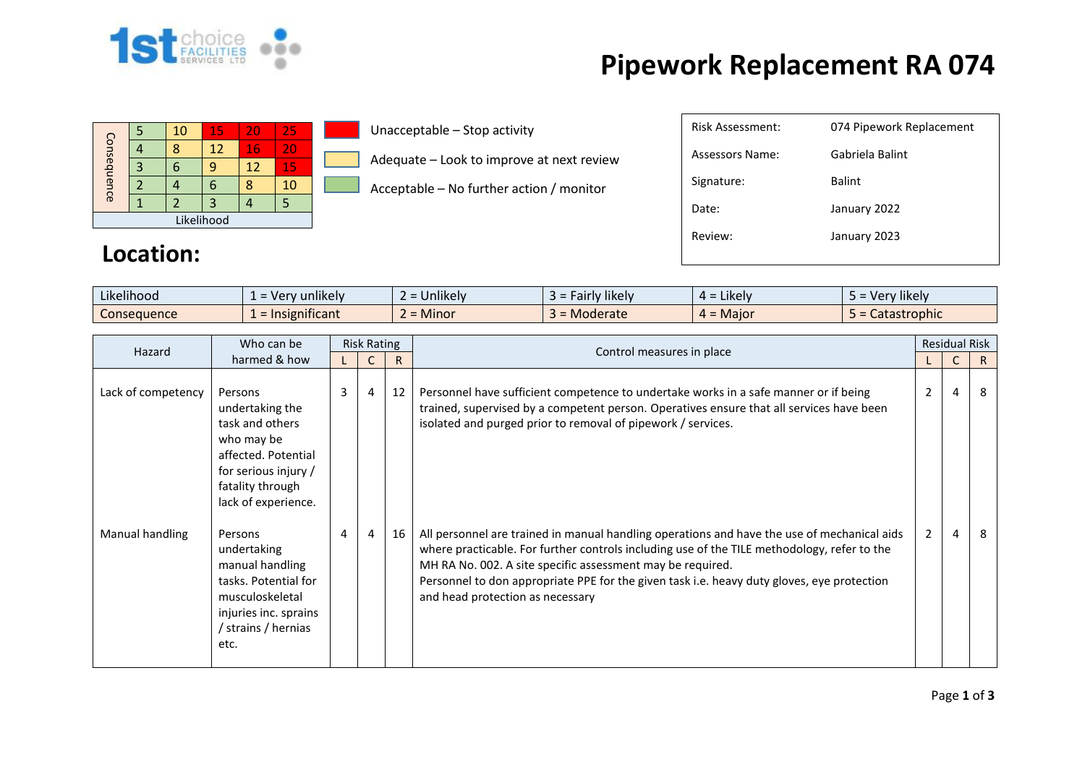

## **Pipework Replacement RA 074**

| Consequence |  | 10 | 15 | 20 | 25 |  |  |  |
|-------------|--|----|----|----|----|--|--|--|
|             |  |    | 12 | 16 | 20 |  |  |  |
|             |  |    | q  | 12 | 15 |  |  |  |
|             |  |    | 6  |    | 10 |  |  |  |
|             |  |    | 3  |    |    |  |  |  |
| Likelihood  |  |    |    |    |    |  |  |  |

**Location:**

## Unacceptable – Stop activity

Adequate – Look to improve at next review

Acceptable – No further action / monitor

| Risk Assessment: | 074 Pipework Replacement |
|------------------|--------------------------|
| Assessors Name:  | Gabriela Balint          |
| Signature:       | <b>Balint</b>            |
| Date:            | January 2022             |
| Review:          | January 2023             |
|                  |                          |

| Likelihood         | unlikely<br>100r<br>verv | <b>Jnlikely</b><br>-- | $\cdots$<br><b>Hikely</b><br>-airlv<br>- 2 | Likely.<br>$\overline{a}$                | $\cdots$<br>Very likely |
|--------------------|--------------------------|-----------------------|--------------------------------------------|------------------------------------------|-------------------------|
| <b>Consequence</b> | Insignificant            | <b>Minor</b>          | <b>Moderate</b>                            | Maior<br>$\overline{\phantom{0}}$<br>ட – | Catastrophic<br>$\sim$  |

| Who can be<br>Hazard |                                                                                                                                                       | <b>Risk Rating</b> |   |    | Control measures in place                                                                                                                                                                                                                                                                                                                                                                  |                | <b>Residual Risk</b> |    |
|----------------------|-------------------------------------------------------------------------------------------------------------------------------------------------------|--------------------|---|----|--------------------------------------------------------------------------------------------------------------------------------------------------------------------------------------------------------------------------------------------------------------------------------------------------------------------------------------------------------------------------------------------|----------------|----------------------|----|
|                      | harmed & how                                                                                                                                          |                    |   | R  |                                                                                                                                                                                                                                                                                                                                                                                            |                | $\mathsf{C}$         | R. |
| Lack of competency   | Persons<br>undertaking the<br>task and others<br>who may be<br>affected. Potential<br>for serious injury /<br>fatality through<br>lack of experience. | 3                  | 4 | 12 | Personnel have sufficient competence to undertake works in a safe manner or if being<br>trained, supervised by a competent person. Operatives ensure that all services have been<br>isolated and purged prior to removal of pipework / services.                                                                                                                                           | $\overline{2}$ | 4                    | 8  |
| Manual handling      | Persons<br>undertaking<br>manual handling<br>tasks. Potential for<br>musculoskeletal<br>injuries inc. sprains<br>strains / hernias<br>etc.            | 4                  | 4 | 16 | All personnel are trained in manual handling operations and have the use of mechanical aids<br>where practicable. For further controls including use of the TILE methodology, refer to the<br>MH RA No. 002. A site specific assessment may be required.<br>Personnel to don appropriate PPE for the given task i.e. heavy duty gloves, eye protection<br>and head protection as necessary | 2              | $\overline{4}$       | 8  |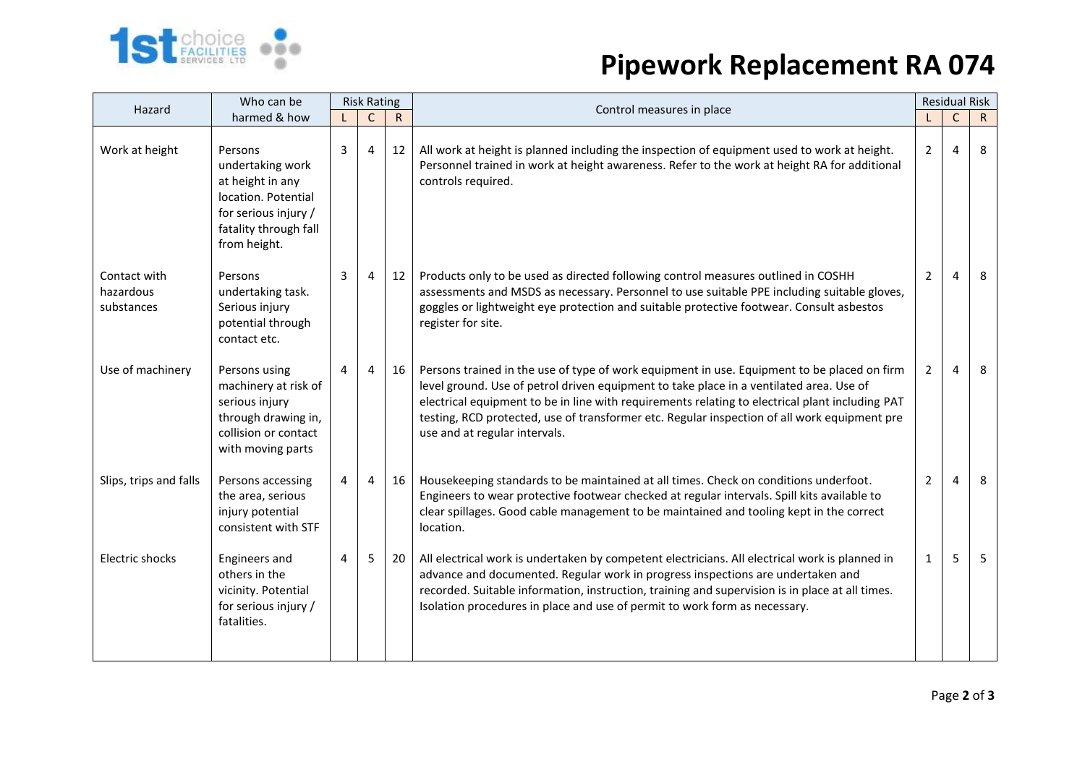

## **Pipework Replacement RA 074**

| Who can be<br>Hazard                    |                                                                                                                                         |   | <b>Risk Rating</b> |              | Control measures in place                                                                                                                                                                                                                                                                                                                                                                                                  |                | <b>Residual Risk</b> |              |
|-----------------------------------------|-----------------------------------------------------------------------------------------------------------------------------------------|---|--------------------|--------------|----------------------------------------------------------------------------------------------------------------------------------------------------------------------------------------------------------------------------------------------------------------------------------------------------------------------------------------------------------------------------------------------------------------------------|----------------|----------------------|--------------|
|                                         | harmed & how                                                                                                                            |   | $\mathsf{C}$       | $\mathsf{R}$ |                                                                                                                                                                                                                                                                                                                                                                                                                            |                | $\mathsf{C}$         | $\mathsf{R}$ |
| Work at height                          | Persons<br>undertaking work<br>at height in any<br>location. Potential<br>for serious injury /<br>fatality through fall<br>from height. | 3 | $\overline{4}$     | 12           | All work at height is planned including the inspection of equipment used to work at height.<br>Personnel trained in work at height awareness. Refer to the work at height RA for additional<br>controls required.                                                                                                                                                                                                          | $\mathbf{2}$   | $\overline{4}$       | 8            |
| Contact with<br>hazardous<br>substances | Persons<br>undertaking task.<br>Serious injury<br>potential through<br>contact etc.                                                     | 3 | 4                  | 12           | Products only to be used as directed following control measures outlined in COSHH<br>assessments and MSDS as necessary. Personnel to use suitable PPE including suitable gloves,<br>goggles or lightweight eye protection and suitable protective footwear. Consult asbestos<br>register for site.                                                                                                                         | $\overline{2}$ | 4                    | 8            |
| Use of machinery                        | Persons using<br>machinery at risk of<br>serious injury<br>through drawing in,<br>collision or contact<br>with moving parts             | 4 | $\overline{4}$     | 16           | Persons trained in the use of type of work equipment in use. Equipment to be placed on firm<br>level ground. Use of petrol driven equipment to take place in a ventilated area. Use of<br>electrical equipment to be in line with requirements relating to electrical plant including PAT<br>testing, RCD protected, use of transformer etc. Regular inspection of all work equipment pre<br>use and at regular intervals. | $\overline{2}$ | 4                    | 8            |
| Slips, trips and falls                  | Persons accessing<br>the area, serious<br>injury potential<br>consistent with STF                                                       | 4 | $\overline{4}$     | 16           | Housekeeping standards to be maintained at all times. Check on conditions underfoot.<br>Engineers to wear protective footwear checked at regular intervals. Spill kits available to<br>clear spillages. Good cable management to be maintained and tooling kept in the correct<br>location.                                                                                                                                | $\overline{2}$ | 4                    | 8            |
| Electric shocks                         | Engineers and<br>others in the<br>vicinity. Potential<br>for serious injury /<br>fatalities.                                            | 4 | 5                  | 20           | All electrical work is undertaken by competent electricians. All electrical work is planned in<br>advance and documented. Regular work in progress inspections are undertaken and<br>recorded. Suitable information, instruction, training and supervision is in place at all times.<br>Isolation procedures in place and use of permit to work form as necessary.                                                         | $\mathbf{1}$   | 5                    | 5            |